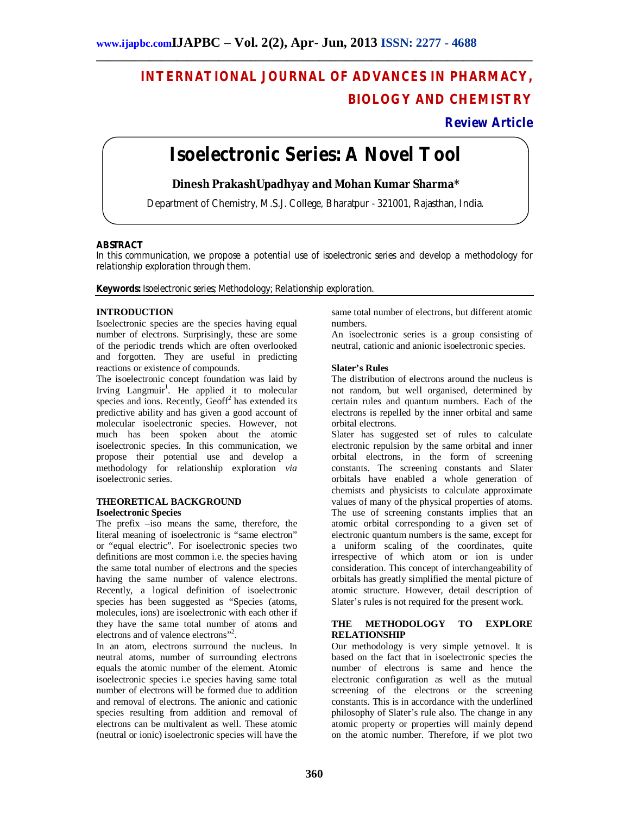# **INTERNATIONAL JOURNAL OF ADVANCES IN PHARMACY, BIOLOGY AND CHEMISTRY**

# **Review Article**

# **Isoelectronic Series: A Novel Tool**

**\_\_\_\_\_\_\_\_\_\_\_\_\_\_\_\_\_\_\_\_\_\_\_\_\_\_\_\_\_\_\_\_\_\_\_\_\_\_\_\_\_\_\_\_\_\_\_\_\_\_\_\_\_\_\_\_\_\_\_\_\_\_\_\_\_\_\_\_\_\_\_\_\_\_\_\_\_\_\_\_\_\_**

**Dinesh PrakashUpadhyay and Mohan Kumar Sharma\***

Department of Chemistry, M.S.J. College, Bharatpur - 321001, Rajasthan, India.

#### **ABSTRACT**

In this communication, we propose a potential use of isoelectronic series and develop a methodology for relationship exploration through them.

**Keywords:** Isoelectronic series; Methodology; Relationship exploration.

### **INTRODUCTION**

Isoelectronic species are the species having equal number of electrons. Surprisingly, these are some of the periodic trends which are often overlooked and forgotten. They are useful in predicting reactions or existence of compounds.

The isoelectronic concept foundation was laid by Irving Langmuir<sup>1</sup>. He applied it to molecular species and ions. Recently,  $Geoff<sup>2</sup>$  has extended its predictive ability and has given a good account of molecular isoelectronic species. However, not much has been spoken about the atomic isoelectronic species. In this communication, we propose their potential use and develop a methodology for relationship exploration *via* isoelectronic series.

#### **THEORETICAL BACKGROUND Isoelectronic Species**

The prefix –iso means the same, therefore, the literal meaning of isoelectronic is "same electron" or "equal electric". For isoelectronic species two definitions are most common i.e. the species having the same total number of electrons and the species having the same number of valence electrons. Recently, a logical definition of isoelectronic species has been suggested as "Species (atoms, molecules, ions) are isoelectronic with each other if they have the same total number of atoms and electrons and of valence electrons"<sup>2</sup>.

In an atom, electrons surround the nucleus. In neutral atoms, number of surrounding electrons equals the atomic number of the element. Atomic isoelectronic species i.e species having same total number of electrons will be formed due to addition and removal of electrons. The anionic and cationic species resulting from addition and removal of electrons can be multivalent as well. These atomic (neutral or ionic) isoelectronic species will have the same total number of electrons, but different atomic numbers.

An isoelectronic series is a group consisting of neutral, cationic and anionic isoelectronic species.

#### **Slater's Rules**

The distribution of electrons around the nucleus is not random, but well organised, determined by certain rules and quantum numbers. Each of the electrons is repelled by the inner orbital and same orbital electrons.

Slater has suggested set of rules to calculate electronic repulsion by the same orbital and inner orbital electrons, in the form of screening constants. The screening constants and Slater orbitals have enabled a whole generation of chemists and physicists to calculate approximate values of many of the physical properties of atoms. The use of screening constants implies that an atomic orbital corresponding to a given set of electronic quantum numbers is the same, except for a uniform scaling of the coordinates, quite irrespective of which atom or ion is under consideration. This concept of interchangeability of orbitals has greatly simplified the mental picture of atomic structure. However, detail description of Slater's rules is not required for the present work.

#### **THE METHODOLOGY TO EXPLORE RELATIONSHIP**

Our methodology is very simple yetnovel. It is based on the fact that in isoelectronic species the number of electrons is same and hence the electronic configuration as well as the mutual screening of the electrons or the screening constants. This is in accordance with the underlined philosophy of Slater's rule also. The change in any atomic property or properties will mainly depend on the atomic number. Therefore, if we plot two